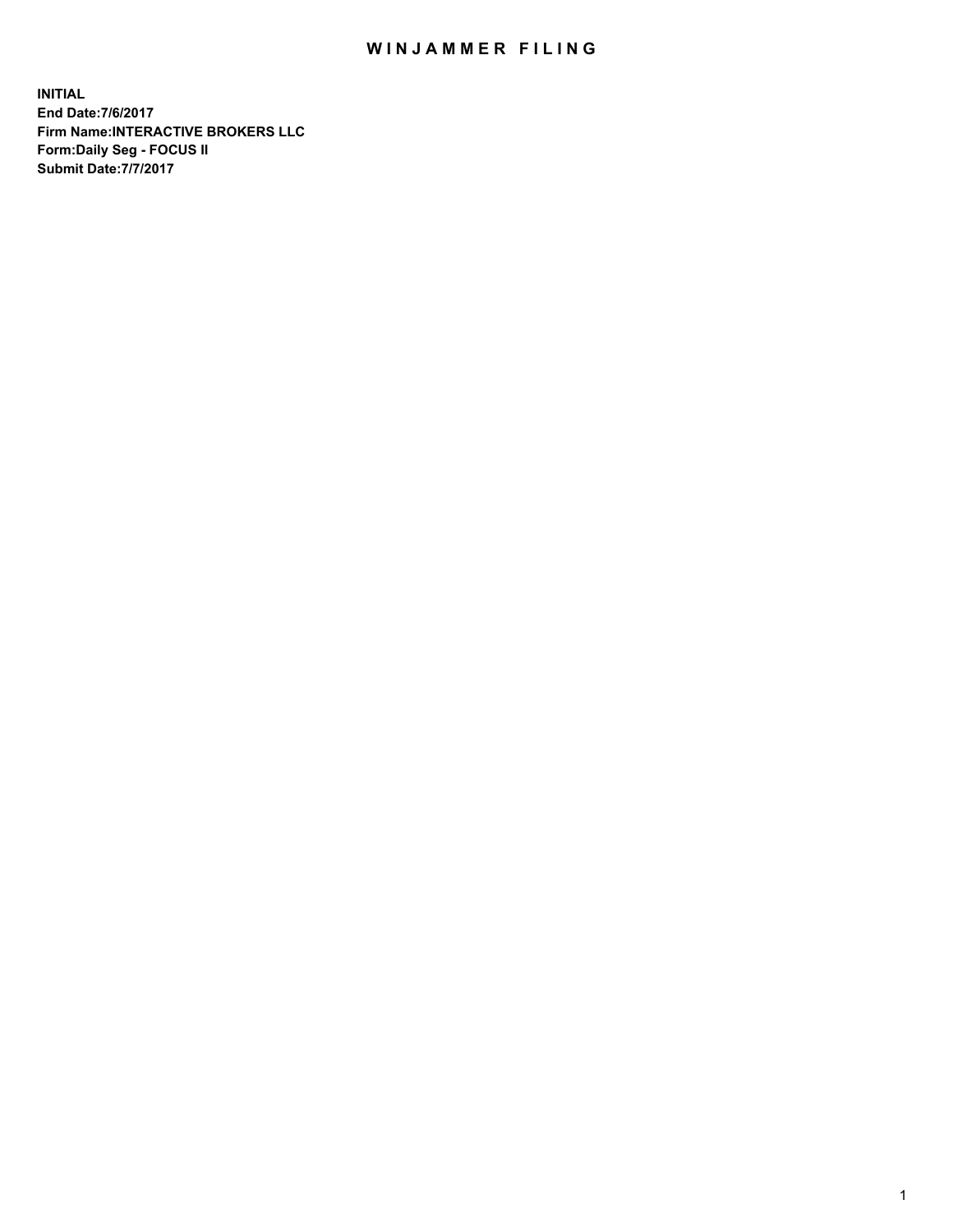## WIN JAMMER FILING

**INITIAL End Date:7/6/2017 Firm Name:INTERACTIVE BROKERS LLC Form:Daily Seg - FOCUS II Submit Date:7/7/2017**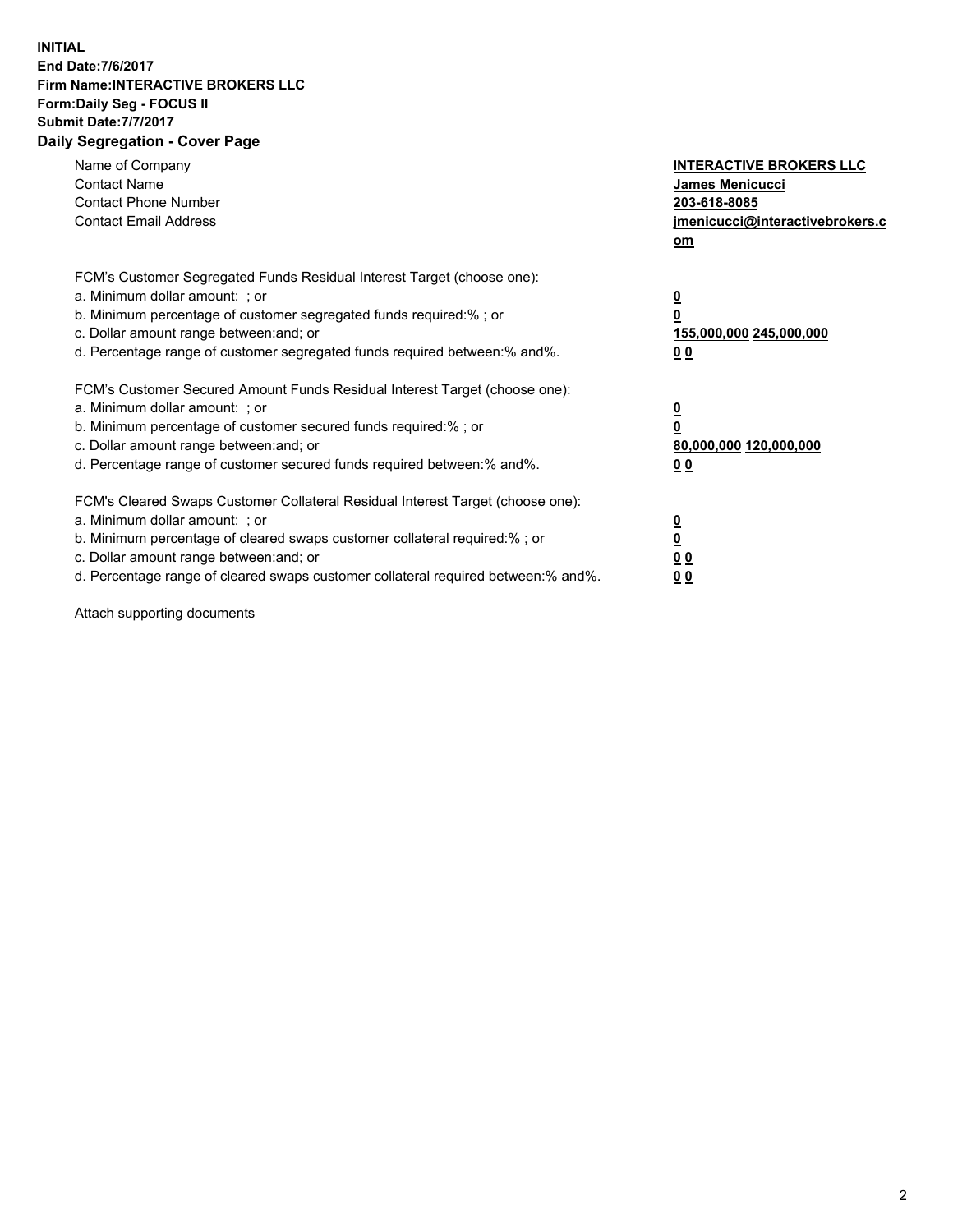## **INITIAL End Date:7/6/2017 Firm Name:INTERACTIVE BROKERS LLC Form:Daily Seg - FOCUS II Submit Date:7/7/2017 Daily Segregation - Cover Page**

| Name of Company<br><b>Contact Name</b><br><b>Contact Phone Number</b><br><b>Contact Email Address</b>                                                                                                                                                                                                                          | <b>INTERACTIVE BROKERS LLC</b><br>James Menicucci<br>203-618-8085<br>jmenicucci@interactivebrokers.c<br>om |
|--------------------------------------------------------------------------------------------------------------------------------------------------------------------------------------------------------------------------------------------------------------------------------------------------------------------------------|------------------------------------------------------------------------------------------------------------|
| FCM's Customer Segregated Funds Residual Interest Target (choose one):<br>a. Minimum dollar amount: ; or<br>b. Minimum percentage of customer segregated funds required:% ; or<br>c. Dollar amount range between: and; or<br>d. Percentage range of customer segregated funds required between:% and%.                         | $\overline{\mathbf{0}}$<br>0<br>155,000,000 245,000,000<br>0 <sub>0</sub>                                  |
| FCM's Customer Secured Amount Funds Residual Interest Target (choose one):<br>a. Minimum dollar amount: ; or<br>b. Minimum percentage of customer secured funds required:%; or<br>c. Dollar amount range between: and; or<br>d. Percentage range of customer secured funds required between: % and %.                          | $\overline{\mathbf{0}}$<br>0<br>80,000,000 120,000,000<br>0 <sub>0</sub>                                   |
| FCM's Cleared Swaps Customer Collateral Residual Interest Target (choose one):<br>a. Minimum dollar amount: ; or<br>b. Minimum percentage of cleared swaps customer collateral required:% ; or<br>c. Dollar amount range between: and; or<br>d. Percentage range of cleared swaps customer collateral required between:% and%. | $\overline{\mathbf{0}}$<br>$\overline{\mathbf{0}}$<br>0 <sub>0</sub><br>0 <sub>0</sub>                     |

Attach supporting documents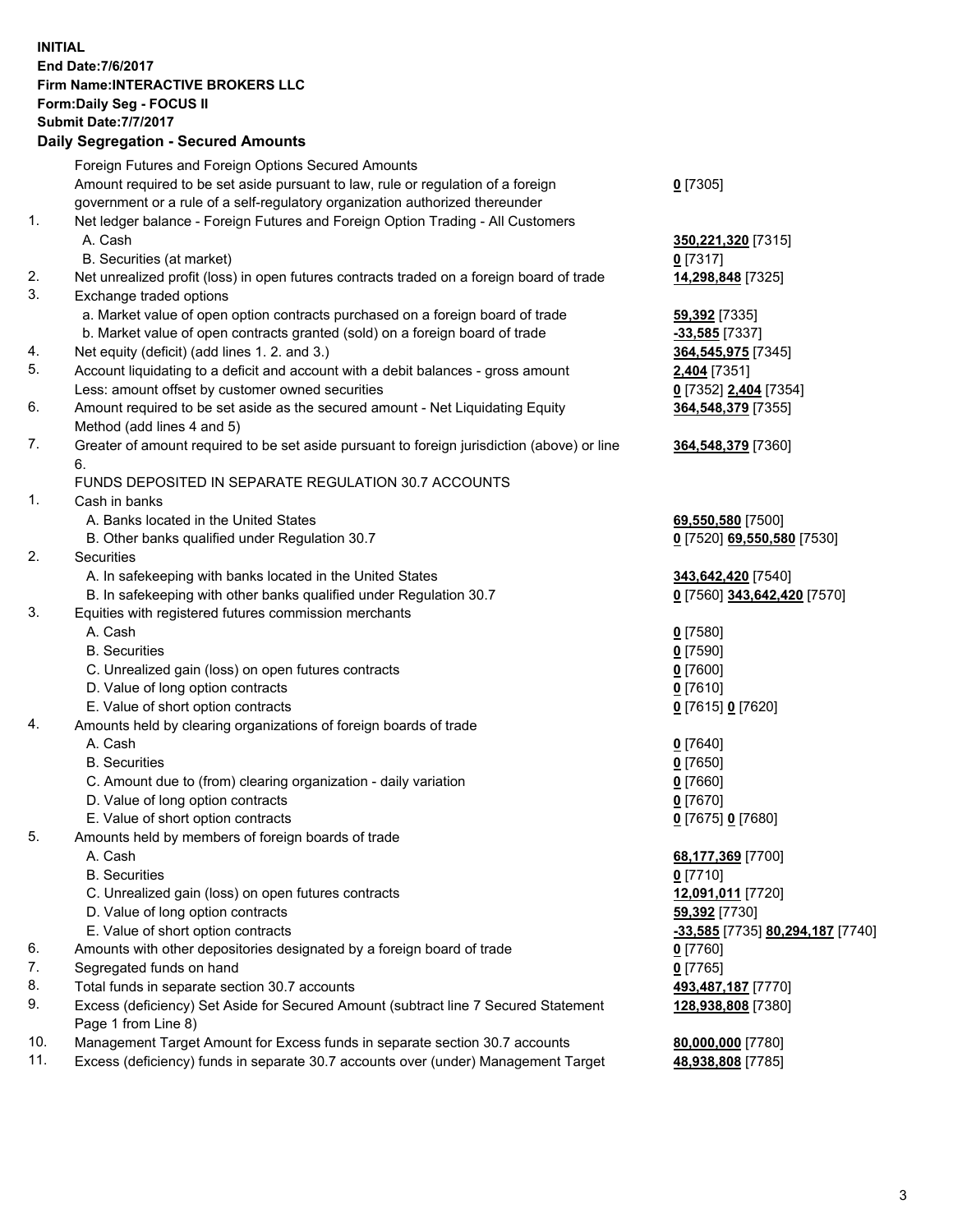**INITIAL End Date:7/6/2017 Firm Name:INTERACTIVE BROKERS LLC Form:Daily Seg - FOCUS II Submit Date:7/7/2017 Daily Segregation - Secured Amounts**

|     | Foreign Futures and Foreign Options Secured Amounts                                                        |                                  |
|-----|------------------------------------------------------------------------------------------------------------|----------------------------------|
|     | Amount required to be set aside pursuant to law, rule or regulation of a foreign                           | $0$ [7305]                       |
|     | government or a rule of a self-regulatory organization authorized thereunder                               |                                  |
| 1.  | Net ledger balance - Foreign Futures and Foreign Option Trading - All Customers                            |                                  |
|     | A. Cash                                                                                                    | 350,221,320 [7315]               |
|     | B. Securities (at market)                                                                                  | 0 [7317]                         |
| 2.  | Net unrealized profit (loss) in open futures contracts traded on a foreign board of trade                  | 14,298,848 [7325]                |
| 3.  | Exchange traded options                                                                                    |                                  |
|     | a. Market value of open option contracts purchased on a foreign board of trade                             | 59,392 [7335]                    |
|     | b. Market value of open contracts granted (sold) on a foreign board of trade                               | -33,585 [7337]                   |
| 4.  | Net equity (deficit) (add lines 1.2. and 3.)                                                               | 364, 545, 975 [7345]             |
| 5.  | Account liquidating to a deficit and account with a debit balances - gross amount                          | 2,404 [7351]                     |
|     | Less: amount offset by customer owned securities                                                           | 0 [7352] 2,404 [7354]            |
| 6.  | Amount required to be set aside as the secured amount - Net Liquidating Equity                             | 364,548,379 [7355]               |
|     | Method (add lines 4 and 5)                                                                                 |                                  |
| 7.  | Greater of amount required to be set aside pursuant to foreign jurisdiction (above) or line                | 364,548,379 [7360]               |
|     | 6.                                                                                                         |                                  |
|     | FUNDS DEPOSITED IN SEPARATE REGULATION 30.7 ACCOUNTS                                                       |                                  |
| 1.  | Cash in banks                                                                                              |                                  |
|     | A. Banks located in the United States                                                                      | 69,550,580 [7500]                |
|     | B. Other banks qualified under Regulation 30.7                                                             | 0 [7520] 69,550,580 [7530]       |
| 2.  | Securities                                                                                                 |                                  |
|     | A. In safekeeping with banks located in the United States                                                  | 343,642,420 [7540]               |
|     | B. In safekeeping with other banks qualified under Regulation 30.7                                         | 0 [7560] 343,642,420 [7570]      |
| 3.  | Equities with registered futures commission merchants                                                      |                                  |
|     | A. Cash                                                                                                    | $0$ [7580]                       |
|     | <b>B.</b> Securities                                                                                       | $0$ [7590]                       |
|     | C. Unrealized gain (loss) on open futures contracts                                                        | $0$ [7600]                       |
|     | D. Value of long option contracts                                                                          | $0$ [7610]                       |
|     | E. Value of short option contracts                                                                         | 0 [7615] 0 [7620]                |
| 4.  | Amounts held by clearing organizations of foreign boards of trade                                          |                                  |
|     | A. Cash                                                                                                    | $0$ [7640]                       |
|     | <b>B.</b> Securities                                                                                       | $0$ [7650]                       |
|     | C. Amount due to (from) clearing organization - daily variation                                            | $0$ [7660]                       |
|     | D. Value of long option contracts                                                                          | $0$ [7670]                       |
|     | E. Value of short option contracts                                                                         | 0 [7675] 0 [7680]                |
| 5.  | Amounts held by members of foreign boards of trade                                                         |                                  |
|     | A. Cash                                                                                                    | 68,177,369 [7700]                |
|     | <b>B.</b> Securities                                                                                       | $0$ [7710]                       |
|     | C. Unrealized gain (loss) on open futures contracts                                                        | 12,091,011 [7720]                |
|     | D. Value of long option contracts                                                                          | 59,392 [7730]                    |
|     | E. Value of short option contracts                                                                         | -33,585 [7735] 80,294,187 [7740] |
| 6.  | Amounts with other depositories designated by a foreign board of trade                                     | 0 [7760]                         |
| 7.  | Segregated funds on hand                                                                                   | $0$ [7765]                       |
| 8.  | Total funds in separate section 30.7 accounts                                                              | 493,487,187 [7770]               |
| 9.  | Excess (deficiency) Set Aside for Secured Amount (subtract line 7 Secured Statement<br>Page 1 from Line 8) | 128,938,808 [7380]               |
| 10. | Management Target Amount for Excess funds in separate section 30.7 accounts                                | 80,000,000 [7780]                |
| 11. | Excess (deficiency) funds in separate 30.7 accounts over (under) Management Target                         | 48,938,808 [7785]                |
|     |                                                                                                            |                                  |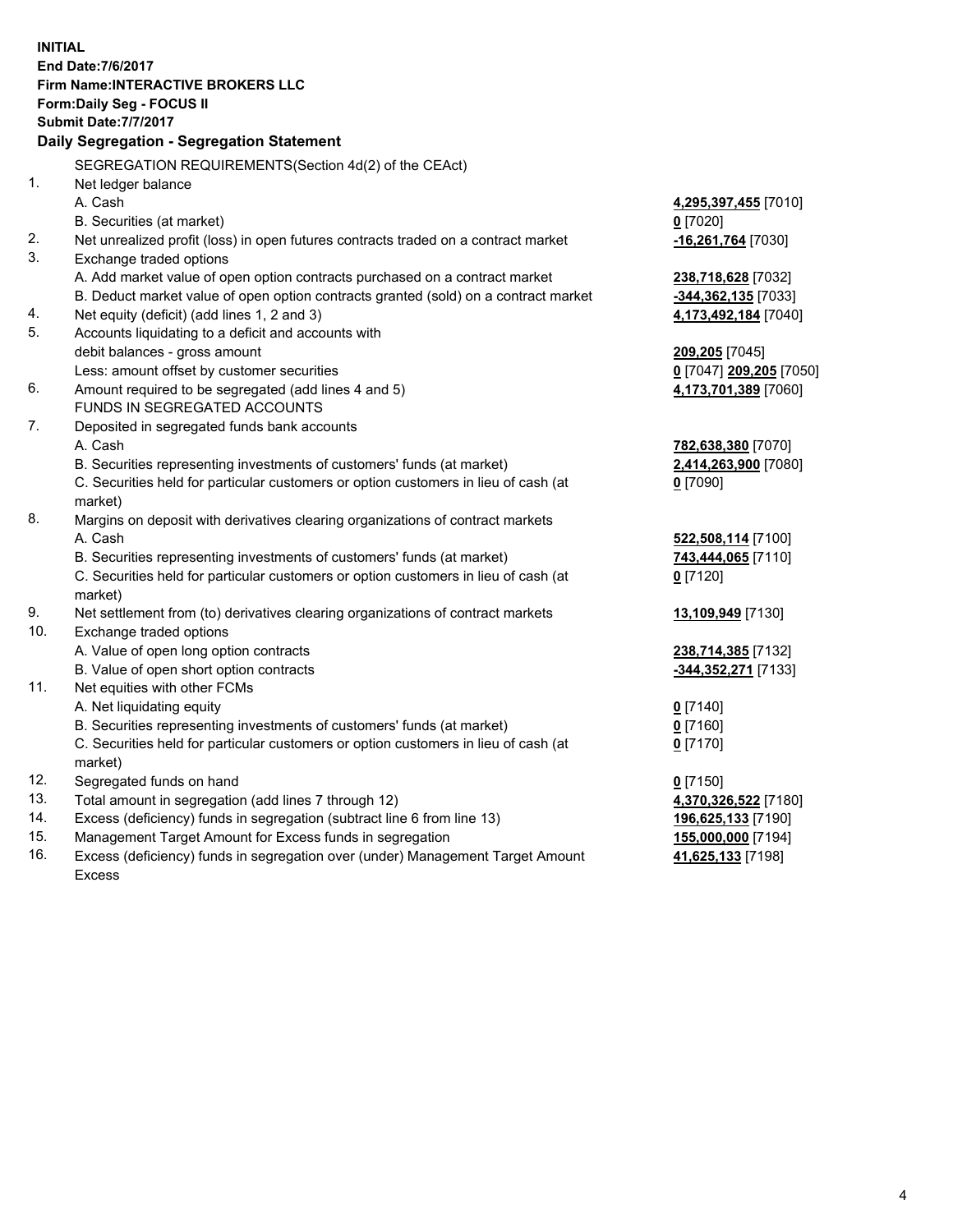**INITIAL End Date:7/6/2017 Firm Name:INTERACTIVE BROKERS LLC Form:Daily Seg - FOCUS II Submit Date:7/7/2017 Daily Segregation - Segregation Statement** SEGREGATION REQUIREMENTS(Section 4d(2) of the CEAct) 1. Net ledger balance A. Cash **4,295,397,455** [7010] B. Securities (at market) **0** [7020] 2. Net unrealized profit (loss) in open futures contracts traded on a contract market **-16,261,764** [7030] 3. Exchange traded options A. Add market value of open option contracts purchased on a contract market **238,718,628** [7032] B. Deduct market value of open option contracts granted (sold) on a contract market **-344,362,135** [7033] 4. Net equity (deficit) (add lines 1, 2 and 3) **4,173,492,184** [7040] 5. Accounts liquidating to a deficit and accounts with debit balances - gross amount **209,205** [7045] Less: amount offset by customer securities **0** [7047] **209,205** [7050] 6. Amount required to be segregated (add lines 4 and 5) **4,173,701,389** [7060] FUNDS IN SEGREGATED ACCOUNTS 7. Deposited in segregated funds bank accounts A. Cash **782,638,380** [7070] B. Securities representing investments of customers' funds (at market) **2,414,263,900** [7080] C. Securities held for particular customers or option customers in lieu of cash (at market) **0** [7090] 8. Margins on deposit with derivatives clearing organizations of contract markets A. Cash **522,508,114** [7100] B. Securities representing investments of customers' funds (at market) **743,444,065** [7110] C. Securities held for particular customers or option customers in lieu of cash (at market) **0** [7120] 9. Net settlement from (to) derivatives clearing organizations of contract markets **13,109,949** [7130] 10. Exchange traded options A. Value of open long option contracts **238,714,385** [7132] B. Value of open short option contracts **-344,352,271** [7133] 11. Net equities with other FCMs A. Net liquidating equity **0** [7140] B. Securities representing investments of customers' funds (at market) **0** [7160] C. Securities held for particular customers or option customers in lieu of cash (at market) **0** [7170] 12. Segregated funds on hand **0** [7150] 13. Total amount in segregation (add lines 7 through 12) **4,370,326,522** [7180] 14. Excess (deficiency) funds in segregation (subtract line 6 from line 13) **196,625,133** [7190] 15. Management Target Amount for Excess funds in segregation **155,000,000** [7194] 16. Excess (deficiency) funds in segregation over (under) Management Target Amount **41,625,133** [7198]

Excess